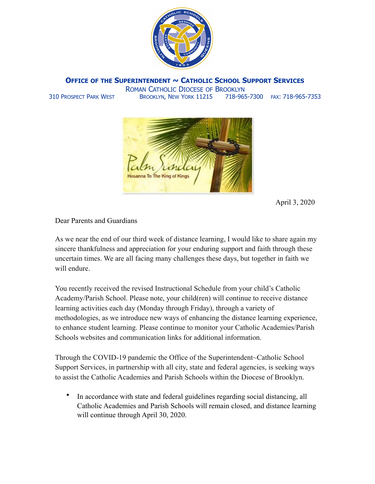

**OFFICE OF THE SUPERINTENDENT ~ CATHOLIC SCHOOL SUPPORT SERVICES**

ROMAN CATHOLIC DIOCESE OF BROOKLYN 310 PROSPECT PARK WEST BROOKLYN, NEW YORK 11215 718-965-7300 FAX: 718-965-7353



April 3, 2020

Dear Parents and Guardians

As we near the end of our third week of distance learning, I would like to share again my sincere thankfulness and appreciation for your enduring support and faith through these uncertain times. We are all facing many challenges these days, but together in faith we will endure.

You recently received the revised Instructional Schedule from your child's Catholic Academy/Parish School. Please note, your child(ren) will continue to receive distance learning activities each day (Monday through Friday), through a variety of methodologies, as we introduce new ways of enhancing the distance learning experience, to enhance student learning. Please continue to monitor your Catholic Academies/Parish Schools websites and communication links for additional information.

Through the COVID-19 pandemic the Office of the Superintendent~Catholic School Support Services, in partnership with all city, state and federal agencies, is seeking ways to assist the Catholic Academies and Parish Schools within the Diocese of Brooklyn.

• In accordance with state and federal guidelines regarding social distancing, all Catholic Academies and Parish Schools will remain closed, and distance learning will continue through April 30, 2020.